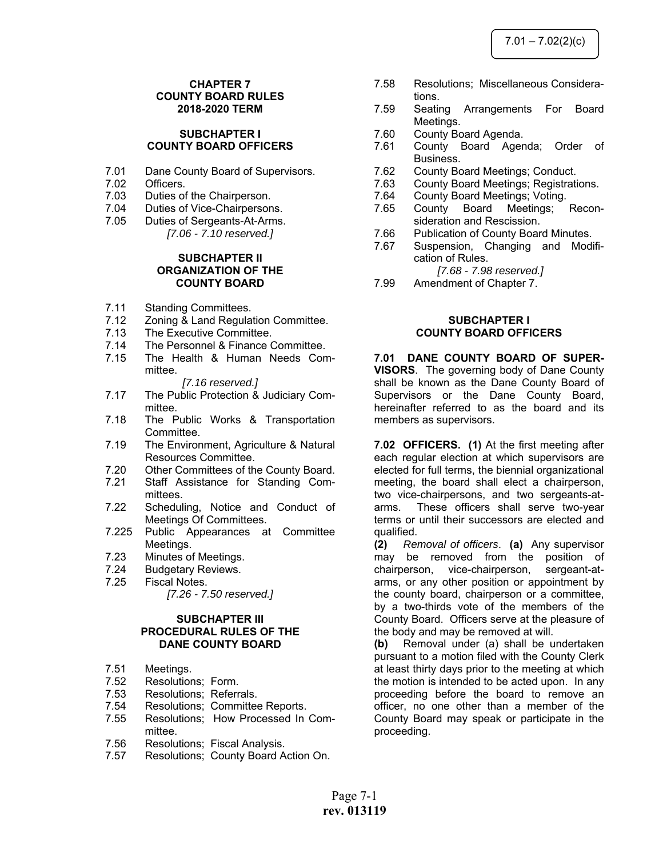# **CHAPTER 7 COUNTY BOARD RULES 2018-2020 TERM**

#### **SUBCHAPTER I COUNTY BOARD OFFICERS**

- 7.01 Dane County Board of Supervisors.
- 7.02 Officers.<br>7.03 Duties of
- Duties of the Chairperson.
- 7.04 Duties of Vice-Chairpersons.
- 7.05 Duties of Sergeants-At-Arms. *[7.06 - 7.10 reserved.]*

# **SUBCHAPTER II ORGANIZATION OF THE COUNTY BOARD**

- 7.11 Standing Committees.
- 7.12 Zoning & Land Regulation Committee.<br>7.13 The Executive Committee.
- The Executive Committee.
- 7.14 The Personnel & Finance Committee.
- 7.15 The Health & Human Needs Committee.

#### *[7.16 reserved.]*

- 7.17 The Public Protection & Judiciary Committee.
- 7.18 The Public Works & Transportation Committee.
- 7.19 The Environment, Agriculture & Natural Resources Committee.
- 7.20 Other Committees of the County Board.
- 7.21 Staff Assistance for Standing Committees.
- 7.22 Scheduling, Notice and Conduct of Meetings Of Committees.
- 7.225 Public Appearances at Committee Meetings.
- 7.23 Minutes of Meetings.
- 7.24 Budgetary Reviews.
- 7.25 Fiscal Notes. *[7.26 - 7.50 reserved.]*

#### **SUBCHAPTER III PROCEDURAL RULES OF THE DANE COUNTY BOARD**

- 7.51 Meetings.
- 7.52 Resolutions; Form.
- 7.53 Resolutions; Referrals.
- 7.54 Resolutions; Committee Reports.
- 7.55 Resolutions; How Processed In Committee.
- 7.56 Resolutions; Fiscal Analysis.
- 7.57 Resolutions; County Board Action On.
- 7.58 Resolutions; Miscellaneous Considerations.
- 7.59 Seating Arrangements For Board Meetings.
- 7.60 County Board Agenda.
- 7.61 County Board Agenda; Order of Business.
- 7.62 County Board Meetings; Conduct.
- 7.63 County Board Meetings; Registrations.
- 7.64 County Board Meetings; Voting.
- 7.65 County Board Meetings; Reconsideration and Rescission.
- 7.66 Publication of County Board Minutes.
- 7.67 Suspension, Changing and Modification of Rules.

 *[7.68 - 7.98 reserved.]* 

7.99 Amendment of Chapter 7.

#### **SUBCHAPTER I COUNTY BOARD OFFICERS**

**7.01 DANE COUNTY BOARD OF SUPER-VISORS**. The governing body of Dane County shall be known as the Dane County Board of Supervisors or the Dane County Board, hereinafter referred to as the board and its members as supervisors.

**7.02 OFFICERS. (1)** At the first meeting after each regular election at which supervisors are elected for full terms, the biennial organizational meeting, the board shall elect a chairperson, two vice-chairpersons, and two sergeants-atarms. These officers shall serve two-year terms or until their successors are elected and qualified.

**(2)** *Removal of officers*. **(a)** Any supervisor may be removed from the position of chairperson, vice-chairperson, sergeant-atarms, or any other position or appointment by the county board, chairperson or a committee, by a two-thirds vote of the members of the County Board. Officers serve at the pleasure of the body and may be removed at will.

**(b)** Removal under (a) shall be undertaken pursuant to a motion filed with the County Clerk at least thirty days prior to the meeting at which the motion is intended to be acted upon. In any proceeding before the board to remove an officer, no one other than a member of the County Board may speak or participate in the proceeding.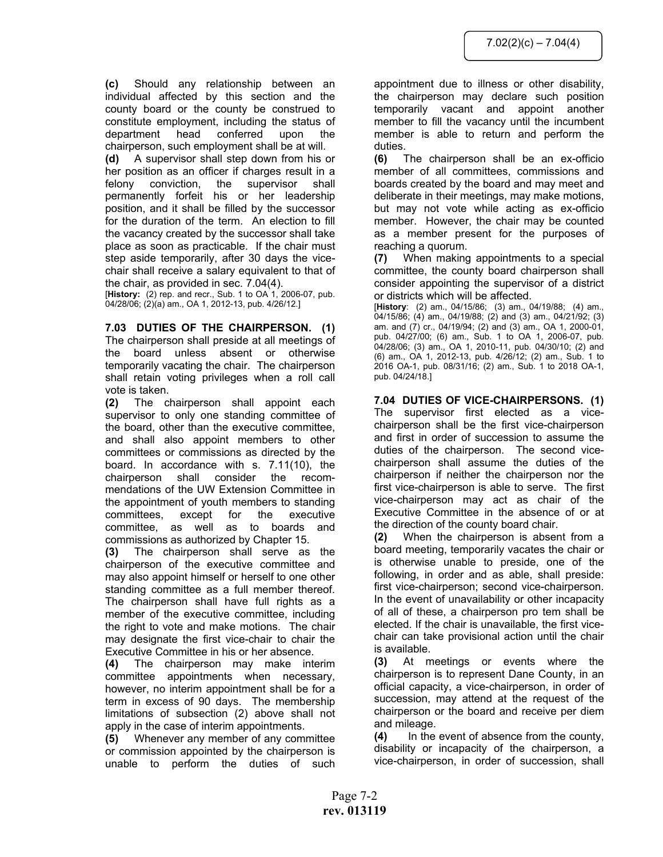**(c)** Should any relationship between an individual affected by this section and the county board or the county be construed to constitute employment, including the status of department head conferred upon the chairperson, such employment shall be at will.

**(d)** A supervisor shall step down from his or her position as an officer if charges result in a felony conviction, the supervisor shall permanently forfeit his or her leadership position, and it shall be filled by the successor for the duration of the term. An election to fill the vacancy created by the successor shall take place as soon as practicable. If the chair must step aside temporarily, after 30 days the vicechair shall receive a salary equivalent to that of the chair, as provided in sec. 7.04(4).

[**History:** (2) rep. and recr., Sub. 1 to OA 1, 2006-07, pub. 04/28/06; (2)(a) am., OA 1, 2012-13, pub. 4/26/12.]

**7.03 DUTIES OF THE CHAIRPERSON. (1)** The chairperson shall preside at all meetings of the board unless absent or otherwise temporarily vacating the chair. The chairperson shall retain voting privileges when a roll call vote is taken.

**(2)** The chairperson shall appoint each supervisor to only one standing committee of the board, other than the executive committee, and shall also appoint members to other committees or commissions as directed by the board. In accordance with s. 7.11(10), the chairperson shall consider the recommendations of the UW Extension Committee in the appointment of youth members to standing committees, except for the executive committee, as well as to boards and commissions as authorized by Chapter 15.

**(3)** The chairperson shall serve as the chairperson of the executive committee and may also appoint himself or herself to one other standing committee as a full member thereof. The chairperson shall have full rights as a member of the executive committee, including the right to vote and make motions. The chair may designate the first vice-chair to chair the Executive Committee in his or her absence.

**(4)** The chairperson may make interim committee appointments when necessary, however, no interim appointment shall be for a term in excess of 90 days. The membership limitations of subsection (2) above shall not apply in the case of interim appointments.

**(5)** Whenever any member of any committee or commission appointed by the chairperson is unable to perform the duties of such appointment due to illness or other disability, the chairperson may declare such position temporarily vacant and appoint another member to fill the vacancy until the incumbent member is able to return and perform the duties.

**(6)** The chairperson shall be an ex-officio member of all committees, commissions and boards created by the board and may meet and deliberate in their meetings, may make motions, but may not vote while acting as ex-officio member. However, the chair may be counted as a member present for the purposes of reaching a quorum.

**(7)** When making appointments to a special committee, the county board chairperson shall consider appointing the supervisor of a district or districts which will be affected.

[**History**: (2) am., 04/15/86; (3) am., 04/19/88; (4) am., 04/15/86; (4) am., 04/19/88; (2) and (3) am., 04/21/92; (3) am. and (7) cr., 04/19/94; (2) and (3) am., OA 1, 2000-01, pub. 04/27/00; (6) am., Sub. 1 to OA 1, 2006-07, pub. 04/28/06; (3) am., OA 1, 2010-11, pub. 04/30/10; (2) and (6) am., OA 1, 2012-13, pub. 4/26/12; (2) am., Sub. 1 to 2016 OA-1, pub. 08/31/16; (2) am., Sub. 1 to 2018 OA-1, pub. 04/24/18.]

**7.04 DUTIES OF VICE-CHAIRPERSONS. (1)** The supervisor first elected as a vicechairperson shall be the first vice-chairperson and first in order of succession to assume the duties of the chairperson. The second vicechairperson shall assume the duties of the chairperson if neither the chairperson nor the first vice-chairperson is able to serve. The first vice-chairperson may act as chair of the Executive Committee in the absence of or at the direction of the county board chair.

**(2)** When the chairperson is absent from a board meeting, temporarily vacates the chair or is otherwise unable to preside, one of the following, in order and as able, shall preside: first vice-chairperson; second vice-chairperson. In the event of unavailability or other incapacity of all of these, a chairperson pro tem shall be elected. If the chair is unavailable, the first vicechair can take provisional action until the chair is available.

**(3)** At meetings or events where the chairperson is to represent Dane County, in an official capacity, a vice-chairperson, in order of succession, may attend at the request of the chairperson or the board and receive per diem and mileage.

**(4)** In the event of absence from the county, disability or incapacity of the chairperson, a vice-chairperson, in order of succession, shall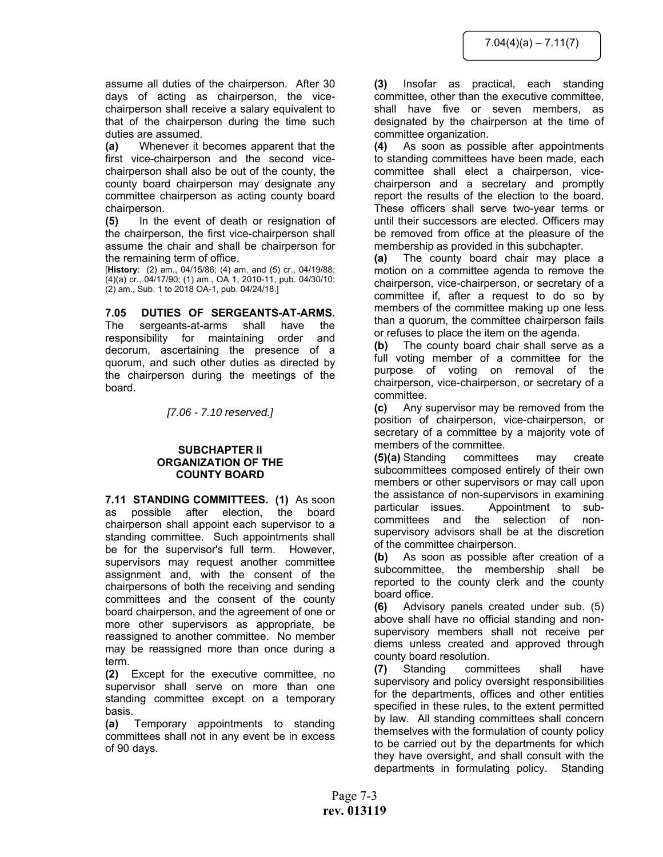assume all duties of the chairperson. After 30 days of acting as chairperson, the vicechairperson shall receive a salary equivalent to that of the chairperson during the time such duties are assumed.

**(a)** Whenever it becomes apparent that the first vice-chairperson and the second vicechairperson shall also be out of the county, the county board chairperson may designate any committee chairperson as acting county board chairperson.

**(5)** In the event of death or resignation of the chairperson, the first vice-chairperson shall assume the chair and shall be chairperson for the remaining term of office.

[**History**: (2) am., 04/15/86; (4) am. and (5) cr., 04/19/88; (4)(a) cr., 04/17/90; (1) am., OA 1, 2010-11, pub. 04/30/10; (2) am., Sub. 1 to 2018 OA-1, pub. 04/24/18.]

# **7.05 DUTIES OF SERGEANTS-AT-ARMS.**

The sergeants-at-arms shall have the responsibility for maintaining order and decorum, ascertaining the presence of a quorum, and such other duties as directed by the chairperson during the meetings of the board.

*[7.06 - 7.10 reserved.]* 

# **SUBCHAPTER II ORGANIZATION OF THE COUNTY BOARD**

**7.11 STANDING COMMITTEES. (1)** As soon as possible after election, the board chairperson shall appoint each supervisor to a standing committee. Such appointments shall be for the supervisor's full term. However, supervisors may request another committee assignment and, with the consent of the chairpersons of both the receiving and sending committees and the consent of the county board chairperson, and the agreement of one or more other supervisors as appropriate, be reassigned to another committee. No member may be reassigned more than once during a term.

**(2)** Except for the executive committee, no supervisor shall serve on more than one standing committee except on a temporary basis.

**(a)** Temporary appointments to standing committees shall not in any event be in excess of 90 days.

**(3)** Insofar as practical, each standing committee, other than the executive committee, shall have five or seven members, as designated by the chairperson at the time of committee organization.

**(4)** As soon as possible after appointments to standing committees have been made, each committee shall elect a chairperson, vicechairperson and a secretary and promptly report the results of the election to the board. These officers shall serve two-year terms or until their successors are elected. Officers may be removed from office at the pleasure of the membership as provided in this subchapter.

**(a)** The county board chair may place a motion on a committee agenda to remove the chairperson, vice-chairperson, or secretary of a committee if, after a request to do so by members of the committee making up one less than a quorum, the committee chairperson fails or refuses to place the item on the agenda.

**(b)** The county board chair shall serve as a full voting member of a committee for the purpose of voting on removal of the chairperson, vice-chairperson, or secretary of a committee.

**(c)** Any supervisor may be removed from the position of chairperson, vice-chairperson, or secretary of a committee by a majority vote of members of the committee.

**(5)(a)** Standing committees may create subcommittees composed entirely of their own members or other supervisors or may call upon the assistance of non-supervisors in examining particular issues. Appointment to subcommittees and the selection of nonsupervisory advisors shall be at the discretion of the committee chairperson.

**(b)** As soon as possible after creation of a subcommittee, the membership shall be reported to the county clerk and the county board office.

**(6)** Advisory panels created under sub. (5) above shall have no official standing and nonsupervisory members shall not receive per diems unless created and approved through county board resolution.

**(7)** Standing committees shall have supervisory and policy oversight responsibilities for the departments, offices and other entities specified in these rules, to the extent permitted by law. All standing committees shall concern themselves with the formulation of county policy to be carried out by the departments for which they have oversight, and shall consult with the departments in formulating policy. Standing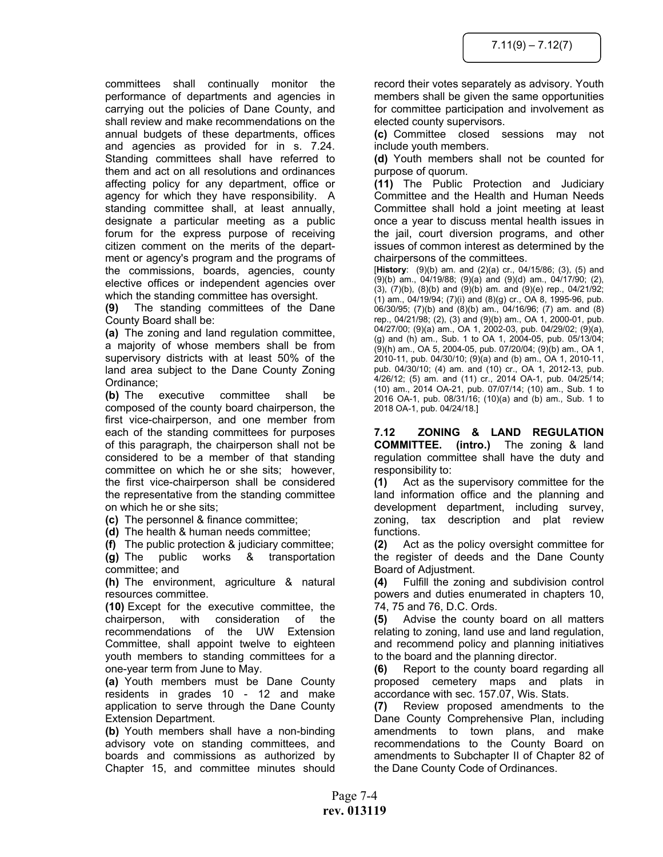committees shall continually monitor the performance of departments and agencies in carrying out the policies of Dane County, and shall review and make recommendations on the annual budgets of these departments, offices and agencies as provided for in s. 7.24. Standing committees shall have referred to them and act on all resolutions and ordinances affecting policy for any department, office or agency for which they have responsibility. A standing committee shall, at least annually, designate a particular meeting as a public forum for the express purpose of receiving citizen comment on the merits of the department or agency's program and the programs of the commissions, boards, agencies, county elective offices or independent agencies over which the standing committee has oversight.

**(9)** The standing committees of the Dane County Board shall be:

**(a)** The zoning and land regulation committee, a majority of whose members shall be from supervisory districts with at least 50% of the land area subject to the Dane County Zoning Ordinance;

**(b)** The executive committee shall be composed of the county board chairperson, the first vice-chairperson, and one member from each of the standing committees for purposes of this paragraph, the chairperson shall not be considered to be a member of that standing committee on which he or she sits; however, the first vice-chairperson shall be considered the representative from the standing committee on which he or she sits;

**(c)** The personnel & finance committee;

**(d)** The health & human needs committee;

**(f)** The public protection & judiciary committee; **(g)** The public works & transportation committee; and

**(h)** The environment, agriculture & natural resources committee.

**(10)** Except for the executive committee, the chairperson, with consideration of the recommendations of the UW Extension Committee, shall appoint twelve to eighteen youth members to standing committees for a one-year term from June to May.

**(a)** Youth members must be Dane County residents in grades 10 - 12 and make application to serve through the Dane County Extension Department.

**(b)** Youth members shall have a non-binding advisory vote on standing committees, and boards and commissions as authorized by Chapter 15, and committee minutes should

record their votes separately as advisory. Youth members shall be given the same opportunities for committee participation and involvement as elected county supervisors.

**(c)** Committee closed sessions may not include youth members.

**(d)** Youth members shall not be counted for purpose of quorum.

**(11)** The Public Protection and Judiciary Committee and the Health and Human Needs Committee shall hold a joint meeting at least once a year to discuss mental health issues in the jail, court diversion programs, and other issues of common interest as determined by the chairpersons of the committees.

[**History**: (9)(b) am. and (2)(a) cr., 04/15/86; (3), (5) and (9)(b) am., 04/19/88; (9)(a) and (9)(d) am., 04/17/90; (2), (3), (7)(b), (8)(b) and (9)(b) am. and (9)(e) rep., 04/21/92; (1) am., 04/19/94; (7)(i) and (8)(g) cr., OA 8, 1995-96, pub. 06/30/95; (7)(b) and (8)(b) am., 04/16/96; (7) am. and (8) rep., 04/21/98; (2), (3) and (9)(b) am., OA 1, 2000-01, pub. 04/27/00; (9)(a) am., OA 1, 2002-03, pub. 04/29/02; (9)(a), (g) and (h) am., Sub. 1 to OA 1, 2004-05, pub. 05/13/04; (9)(h) am., OA 5, 2004-05, pub. 07/20/04; (9)(b) am., OA 1, 2010-11, pub. 04/30/10; (9)(a) and (b) am., OA 1, 2010-11, pub. 04/30/10; (4) am. and (10) cr., OA 1, 2012-13, pub. 4/26/12; (5) am. and (11) cr., 2014 OA-1, pub. 04/25/14; (10) am., 2014 OA-21, pub. 07/07/14; (10) am., Sub. 1 to 2016 OA-1, pub. 08/31/16; (10)(a) and (b) am., Sub. 1 to 2018 OA-1, pub. 04/24/18.]

**7.12 ZONING & LAND REGULATION COMMITTEE. (intro.)** The zoning & land regulation committee shall have the duty and responsibility to:

**(1)** Act as the supervisory committee for the land information office and the planning and development department, including survey, zoning, tax description and plat review functions.

**(2)** Act as the policy oversight committee for the register of deeds and the Dane County Board of Adjustment.

**(4)** Fulfill the zoning and subdivision control powers and duties enumerated in chapters 10, 74, 75 and 76, D.C. Ords.

**(5)** Advise the county board on all matters relating to zoning, land use and land regulation, and recommend policy and planning initiatives to the board and the planning director.

**(6)** Report to the county board regarding all proposed cemetery maps and plats in accordance with sec. 157.07, Wis. Stats.

**(7)** Review proposed amendments to the Dane County Comprehensive Plan, including amendments to town plans, and make recommendations to the County Board on amendments to Subchapter II of Chapter 82 of the Dane County Code of Ordinances.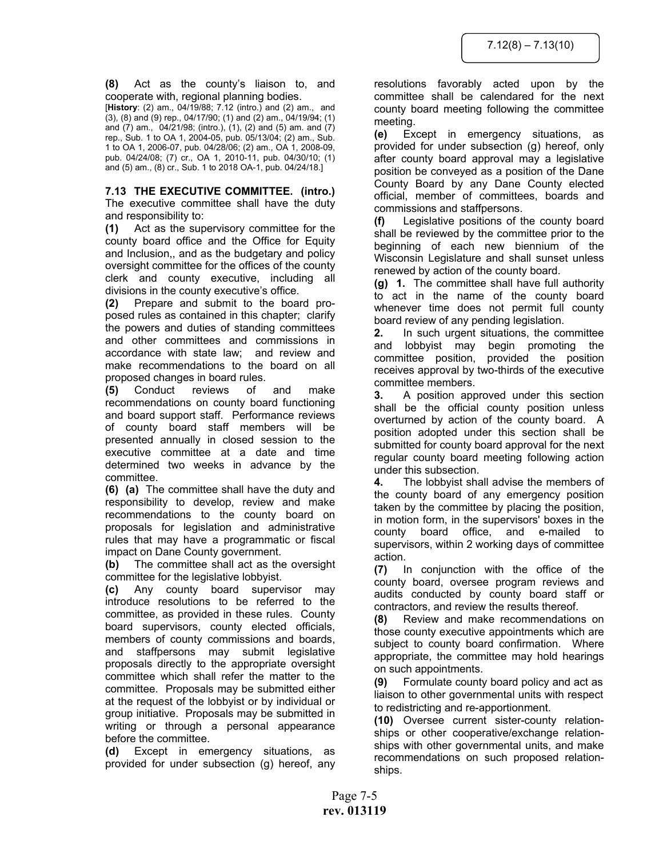**(8)** Act as the county's liaison to, and cooperate with, regional planning bodies.

[**History**: (2) am., 04/19/88; 7.12 (intro.) and (2) am., and (3), (8) and (9) rep., 04/17/90; (1) and (2) am., 04/19/94; (1) and (7) am., 04/21/98; (intro.), (1), (2) and (5) am. and (7) rep., Sub. 1 to OA 1, 2004-05, pub. 05/13/04; (2) am., Sub. 1 to OA 1, 2006-07, pub. 04/28/06; (2) am., OA 1, 2008-09, pub. 04/24/08; (7) cr., OA 1, 2010-11, pub. 04/30/10; (1) and (5) am., (8) cr., Sub. 1 to 2018 OA-1, pub. 04/24/18.]

**7.13 THE EXECUTIVE COMMITTEE. (intro.)** The executive committee shall have the duty and responsibility to:

**(1)** Act as the supervisory committee for the county board office and the Office for Equity and Inclusion,, and as the budgetary and policy oversight committee for the offices of the county clerk and county executive, including all divisions in the county executive's office.

**(2)** Prepare and submit to the board proposed rules as contained in this chapter; clarify the powers and duties of standing committees and other committees and commissions in accordance with state law; and review and make recommendations to the board on all proposed changes in board rules.

**(5)** Conduct reviews of and make recommendations on county board functioning and board support staff. Performance reviews of county board staff members will be presented annually in closed session to the executive committee at a date and time determined two weeks in advance by the committee.

**(6) (a)** The committee shall have the duty and responsibility to develop, review and make recommendations to the county board on proposals for legislation and administrative rules that may have a programmatic or fiscal impact on Dane County government.

**(b)** The committee shall act as the oversight committee for the legislative lobbyist.

**(c)** Any county board supervisor may introduce resolutions to be referred to the committee, as provided in these rules. County board supervisors, county elected officials, members of county commissions and boards, and staffpersons may submit legislative proposals directly to the appropriate oversight committee which shall refer the matter to the committee. Proposals may be submitted either at the request of the lobbyist or by individual or group initiative. Proposals may be submitted in writing or through a personal appearance before the committee.

**(d)** Except in emergency situations, as provided for under subsection (g) hereof, any

resolutions favorably acted upon by the committee shall be calendared for the next county board meeting following the committee meeting.

**(e)** Except in emergency situations, as provided for under subsection (g) hereof, only after county board approval may a legislative position be conveyed as a position of the Dane County Board by any Dane County elected official, member of committees, boards and commissions and staffpersons.

**(f)** Legislative positions of the county board shall be reviewed by the committee prior to the beginning of each new biennium of the Wisconsin Legislature and shall sunset unless renewed by action of the county board.

**(g) 1.** The committee shall have full authority to act in the name of the county board whenever time does not permit full county board review of any pending legislation.

**2.** In such urgent situations, the committee and lobbyist may begin promoting the committee position, provided the position receives approval by two-thirds of the executive committee members.

**3.** A position approved under this section shall be the official county position unless overturned by action of the county board. A position adopted under this section shall be submitted for county board approval for the next regular county board meeting following action under this subsection.

**4.** The lobbyist shall advise the members of the county board of any emergency position taken by the committee by placing the position, in motion form, in the supervisors' boxes in the county board office, and e-mailed to supervisors, within 2 working days of committee action.

**(7)** In conjunction with the office of the county board, oversee program reviews and audits conducted by county board staff or contractors, and review the results thereof.

**(8)** Review and make recommendations on those county executive appointments which are subject to county board confirmation. Where appropriate, the committee may hold hearings on such appointments.

**(9)** Formulate county board policy and act as liaison to other governmental units with respect to redistricting and re-apportionment.

**(10)** Oversee current sister-county relationships or other cooperative/exchange relationships with other governmental units, and make recommendations on such proposed relationships.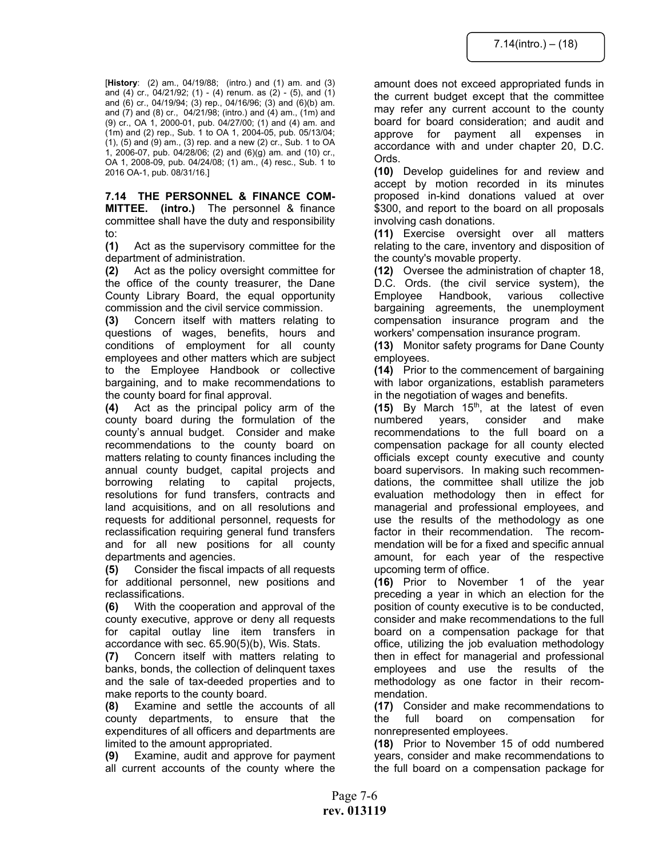[**History**: (2) am., 04/19/88; (intro.) and (1) am. and (3) and (4) cr., 04/21/92; (1) - (4) renum. as  $(2)$  - (5), and  $(1)$ and (6) cr., 04/19/94; (3) rep., 04/16/96; (3) and (6)(b) am. and  $(7)$  and  $(8)$  cr.,  $04/21/98$ ; (intro.) and  $(4)$  am.,  $(1m)$  and (9) cr., OA 1, 2000-01, pub. 04/27/00; (1) and (4) am. and (1m) and (2) rep., Sub. 1 to OA 1, 2004-05, pub. 05/13/04; (1), (5) and (9) am., (3) rep. and a new (2) cr., Sub. 1 to OA 1, 2006-07, pub. 04/28/06; (2) and (6)(g) am. and (10) cr., OA 1, 2008-09, pub. 04/24/08; (1) am., (4) resc., Sub. 1 to 2016 OA-1, pub. 08/31/16.]

**7.14 THE PERSONNEL & FINANCE COM-MITTEE. (intro.)** The personnel & finance committee shall have the duty and responsibility to:

**(1)** Act as the supervisory committee for the department of administration.

**(2)** Act as the policy oversight committee for the office of the county treasurer, the Dane County Library Board, the equal opportunity commission and the civil service commission.

**(3)** Concern itself with matters relating to questions of wages, benefits, hours and conditions of employment for all county employees and other matters which are subject to the Employee Handbook or collective bargaining, and to make recommendations to the county board for final approval.

**(4)** Act as the principal policy arm of the county board during the formulation of the county's annual budget. Consider and make recommendations to the county board on matters relating to county finances including the annual county budget, capital projects and borrowing relating to capital projects, resolutions for fund transfers, contracts and land acquisitions, and on all resolutions and requests for additional personnel, requests for reclassification requiring general fund transfers and for all new positions for all county departments and agencies.

**(5)** Consider the fiscal impacts of all requests for additional personnel, new positions and reclassifications.

**(6)** With the cooperation and approval of the county executive, approve or deny all requests for capital outlay line item transfers in accordance with sec. 65.90(5)(b), Wis. Stats.

**(7)** Concern itself with matters relating to banks, bonds, the collection of delinquent taxes and the sale of tax-deeded properties and to make reports to the county board.

**(8)** Examine and settle the accounts of all county departments, to ensure that the expenditures of all officers and departments are limited to the amount appropriated.

**(9)** Examine, audit and approve for payment all current accounts of the county where the

amount does not exceed appropriated funds in the current budget except that the committee may refer any current account to the county board for board consideration; and audit and approve for payment all expenses in accordance with and under chapter 20, D.C. Ords.

**(10)** Develop guidelines for and review and accept by motion recorded in its minutes proposed in-kind donations valued at over \$300, and report to the board on all proposals involving cash donations.

**(11)** Exercise oversight over all matters relating to the care, inventory and disposition of the county's movable property.

**(12)** Oversee the administration of chapter 18, D.C. Ords. (the civil service system), the Employee Handbook, various collective bargaining agreements, the unemployment compensation insurance program and the workers' compensation insurance program.

**(13)** Monitor safety programs for Dane County employees.

**(14)** Prior to the commencement of bargaining with labor organizations, establish parameters in the negotiation of wages and benefits.

(15) By March 15<sup>th</sup>, at the latest of even numbered years, consider and make recommendations to the full board on a compensation package for all county elected officials except county executive and county board supervisors. In making such recommendations, the committee shall utilize the job evaluation methodology then in effect for managerial and professional employees, and use the results of the methodology as one factor in their recommendation. The recommendation will be for a fixed and specific annual amount, for each year of the respective upcoming term of office.

**(16)** Prior to November 1 of the year preceding a year in which an election for the position of county executive is to be conducted, consider and make recommendations to the full board on a compensation package for that office, utilizing the job evaluation methodology then in effect for managerial and professional employees and use the results of the methodology as one factor in their recommendation.

**(17)** Consider and make recommendations to the full board on compensation for nonrepresented employees.

**(18)** Prior to November 15 of odd numbered years, consider and make recommendations to the full board on a compensation package for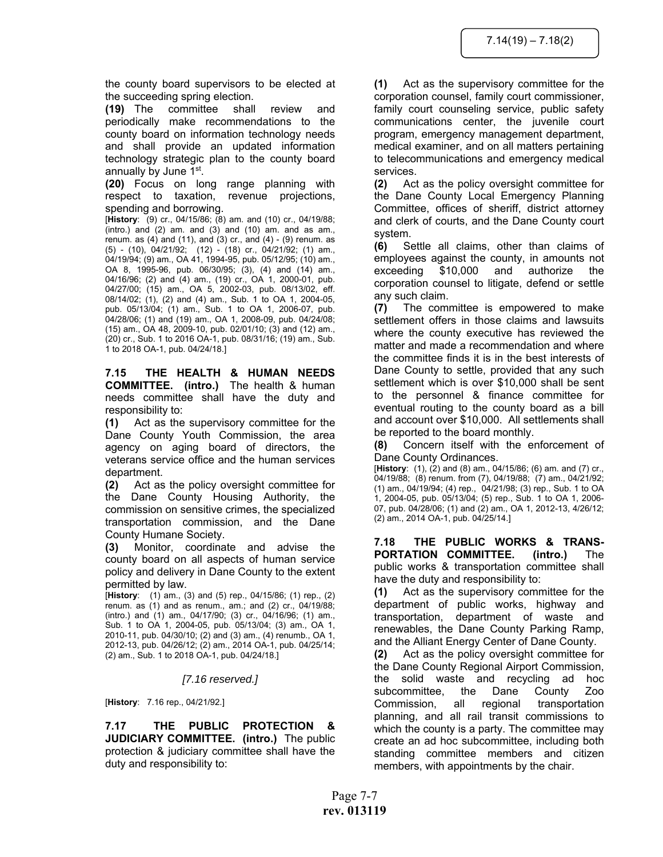the county board supervisors to be elected at the succeeding spring election.

**(19)** The committee shall review and periodically make recommendations to the county board on information technology needs and shall provide an updated information technology strategic plan to the county board annually by June 1st.

**(20)** Focus on long range planning with respect to taxation, revenue projections, spending and borrowing.

[**History**: (9) cr., 04/15/86; (8) am. and (10) cr., 04/19/88; (intro.) and (2) am. and (3) and (10) am. and as am., renum. as  $(4)$  and  $(11)$ , and  $(3)$  cr., and  $(4)$  -  $(9)$  renum. as  $(5)$  -  $(10)$ ,  $04/21/92$ ;  $(12)$  -  $(18)$  cr.,  $04/21/92$ ;  $(1)$  am., 04/19/94; (9) am., OA 41, 1994-95, pub. 05/12/95; (10) am., OA 8, 1995-96, pub. 06/30/95; (3), (4) and (14) am., 04/16/96; (2) and (4) am., (19) cr., OA 1, 2000-01, pub. 04/27/00; (15) am., OA 5, 2002-03, pub. 08/13/02, eff. 08/14/02; (1), (2) and (4) am., Sub. 1 to OA 1, 2004-05, pub. 05/13/04; (1) am., Sub. 1 to OA 1, 2006-07, pub. 04/28/06; (1) and (19) am., OA 1, 2008-09, pub. 04/24/08; (15) am., OA 48, 2009-10, pub. 02/01/10; (3) and (12) am., (20) cr., Sub. 1 to 2016 OA-1, pub. 08/31/16; (19) am., Sub. 1 to 2018 OA-1, pub. 04/24/18.]

**7.15 THE HEALTH & HUMAN NEEDS COMMITTEE. (intro.)** The health & human needs committee shall have the duty and responsibility to:

**(1)** Act as the supervisory committee for the Dane County Youth Commission, the area agency on aging board of directors, the veterans service office and the human services department.

**(2)** Act as the policy oversight committee for the Dane County Housing Authority, the commission on sensitive crimes, the specialized transportation commission, and the Dane County Humane Society.

**(3)** Monitor, coordinate and advise the county board on all aspects of human service policy and delivery in Dane County to the extent permitted by law.

[**History**: (1) am., (3) and (5) rep., 04/15/86; (1) rep., (2) renum. as (1) and as renum., am.; and (2) cr., 04/19/88; (intro.) and (1) am., 04/17/90; (3) cr., 04/16/96; (1) am., Sub. 1 to OA 1, 2004-05, pub. 05/13/04; (3) am., OA 1, 2010-11, pub. 04/30/10; (2) and (3) am., (4) renumb., OA 1, 2012-13, pub. 04/26/12; (2) am., 2014 OA-1, pub. 04/25/14; (2) am., Sub. 1 to 2018 OA-1, pub. 04/24/18.]

*[7.16 reserved.]* 

[**History**: 7.16 rep., 04/21/92.]

**7.17 THE PUBLIC PROTECTION & JUDICIARY COMMITTEE. (intro.)** The public protection & judiciary committee shall have the duty and responsibility to:

**(1)** Act as the supervisory committee for the corporation counsel, family court commissioner, family court counseling service, public safety communications center, the juvenile court program, emergency management department, medical examiner, and on all matters pertaining to telecommunications and emergency medical services.

**(2)** Act as the policy oversight committee for the Dane County Local Emergency Planning Committee, offices of sheriff, district attorney and clerk of courts, and the Dane County court system.

**(6)** Settle all claims, other than claims of employees against the county, in amounts not exceeding \$10,000 and authorize the corporation counsel to litigate, defend or settle any such claim.

**(7)** The committee is empowered to make settlement offers in those claims and lawsuits where the county executive has reviewed the matter and made a recommendation and where the committee finds it is in the best interests of Dane County to settle, provided that any such settlement which is over \$10,000 shall be sent to the personnel & finance committee for eventual routing to the county board as a bill and account over \$10,000. All settlements shall be reported to the board monthly.

**(8)** Concern itself with the enforcement of Dane County Ordinances.

[**History**: (1), (2) and (8) am., 04/15/86; (6) am. and (7) cr., 04/19/88; (8) renum. from (7), 04/19/88; (7) am., 04/21/92; (1) am., 04/19/94; (4) rep., 04/21/98; (3) rep., Sub. 1 to OA 1, 2004-05, pub. 05/13/04; (5) rep., Sub. 1 to OA 1, 2006- 07, pub. 04/28/06; (1) and (2) am., OA 1, 2012-13, 4/26/12; (2) am., 2014 OA-1, pub. 04/25/14.]

**7.18 THE PUBLIC WORKS & TRANS-PORTATION COMMITTEE. (intro.)** The public works & transportation committee shall have the duty and responsibility to:

**(1)** Act as the supervisory committee for the department of public works, highway and transportation, department of waste and renewables, the Dane County Parking Ramp, and the Alliant Energy Center of Dane County.

**(2)** Act as the policy oversight committee for the Dane County Regional Airport Commission, the solid waste and recycling ad hoc subcommittee, the Dane County Zoo Commission, all regional transportation planning, and all rail transit commissions to which the county is a party. The committee may create an ad hoc subcommittee, including both standing committee members and citizen members, with appointments by the chair.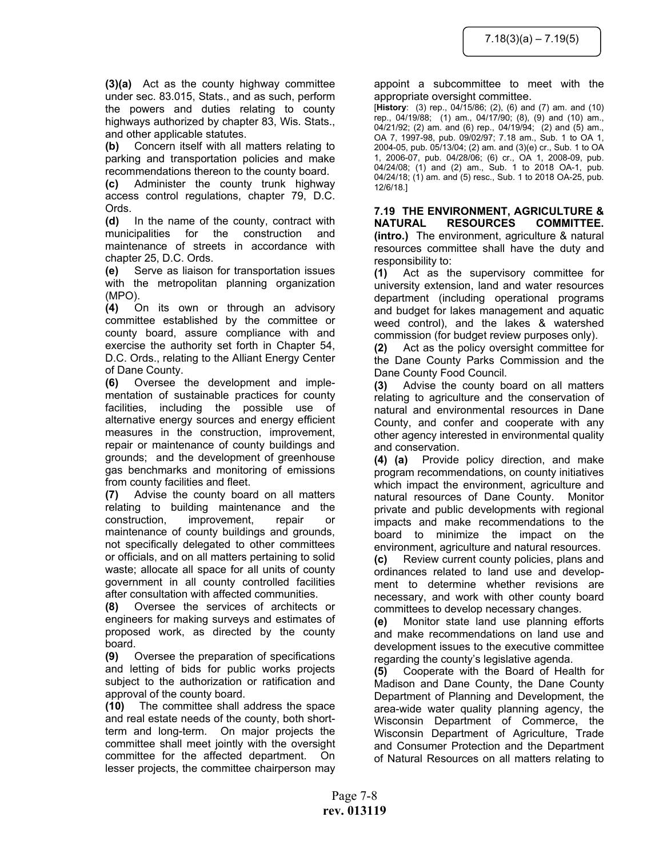**(3)(a)** Act as the county highway committee under sec. 83.015, Stats., and as such, perform the powers and duties relating to county highways authorized by chapter 83, Wis. Stats., and other applicable statutes.

**(b)** Concern itself with all matters relating to parking and transportation policies and make recommendations thereon to the county board.

**(c)** Administer the county trunk highway access control regulations, chapter 79, D.C. Ords.

**(d)** In the name of the county, contract with municipalities for the construction and maintenance of streets in accordance with chapter 25, D.C. Ords.

**(e)** Serve as liaison for transportation issues with the metropolitan planning organization (MPO).

**(4)** On its own or through an advisory committee established by the committee or county board, assure compliance with and exercise the authority set forth in Chapter 54, D.C. Ords., relating to the Alliant Energy Center of Dane County.

**(6)** Oversee the development and implementation of sustainable practices for county facilities, including the possible use of alternative energy sources and energy efficient measures in the construction, improvement, repair or maintenance of county buildings and grounds; and the development of greenhouse gas benchmarks and monitoring of emissions from county facilities and fleet.

**(7)** Advise the county board on all matters relating to building maintenance and the construction, improvement, repair or maintenance of county buildings and grounds, not specifically delegated to other committees or officials, and on all matters pertaining to solid waste; allocate all space for all units of county government in all county controlled facilities after consultation with affected communities.

**(8)** Oversee the services of architects or engineers for making surveys and estimates of proposed work, as directed by the county board.

**(9)** Oversee the preparation of specifications and letting of bids for public works projects subject to the authorization or ratification and approval of the county board.

**(10)** The committee shall address the space and real estate needs of the county, both shortterm and long-term. On major projects the committee shall meet jointly with the oversight committee for the affected department. On lesser projects, the committee chairperson may

#### appoint a subcommittee to meet with the appropriate oversight committee.

[**History**: (3) rep., 04/15/86; (2), (6) and (7) am. and (10) rep., 04/19/88; (1) am., 04/17/90; (8), (9) and (10) am., 04/21/92; (2) am. and (6) rep., 04/19/94; (2) and (5) am., OA 7, 1997-98, pub. 09/02/97; 7.18 am., Sub. 1 to OA 1, 2004-05, pub. 05/13/04; (2) am. and (3)(e) cr., Sub. 1 to OA 1, 2006-07, pub. 04/28/06; (6) cr., OA 1, 2008-09, pub. 04/24/08; (1) and (2) am., Sub. 1 to 2018 OA-1, pub. 04/24/18; (1) am. and (5) resc., Sub. 1 to 2018 OA-25, pub. 12/6/18.]

**7.19 THE ENVIRONMENT, AGRICULTURE & NATURAL RESOURCES COMMITTEE. (intro.)** The environment, agriculture & natural resources committee shall have the duty and responsibility to:

**(1)** Act as the supervisory committee for university extension, land and water resources department (including operational programs and budget for lakes management and aquatic weed control), and the lakes & watershed commission (for budget review purposes only).

**(2)** Act as the policy oversight committee for the Dane County Parks Commission and the Dane County Food Council.

**(3)** Advise the county board on all matters relating to agriculture and the conservation of natural and environmental resources in Dane County, and confer and cooperate with any other agency interested in environmental quality and conservation.

**(4) (a)** Provide policy direction, and make program recommendations, on county initiatives which impact the environment, agriculture and natural resources of Dane County. Monitor private and public developments with regional impacts and make recommendations to the board to minimize the impact on the environment, agriculture and natural resources.

**(c)** Review current county policies, plans and ordinances related to land use and development to determine whether revisions are necessary, and work with other county board committees to develop necessary changes.

**(e)** Monitor state land use planning efforts and make recommendations on land use and development issues to the executive committee regarding the county's legislative agenda.

**(5)** Cooperate with the Board of Health for Madison and Dane County, the Dane County Department of Planning and Development, the area-wide water quality planning agency, the Wisconsin Department of Commerce, the Wisconsin Department of Agriculture, Trade and Consumer Protection and the Department of Natural Resources on all matters relating to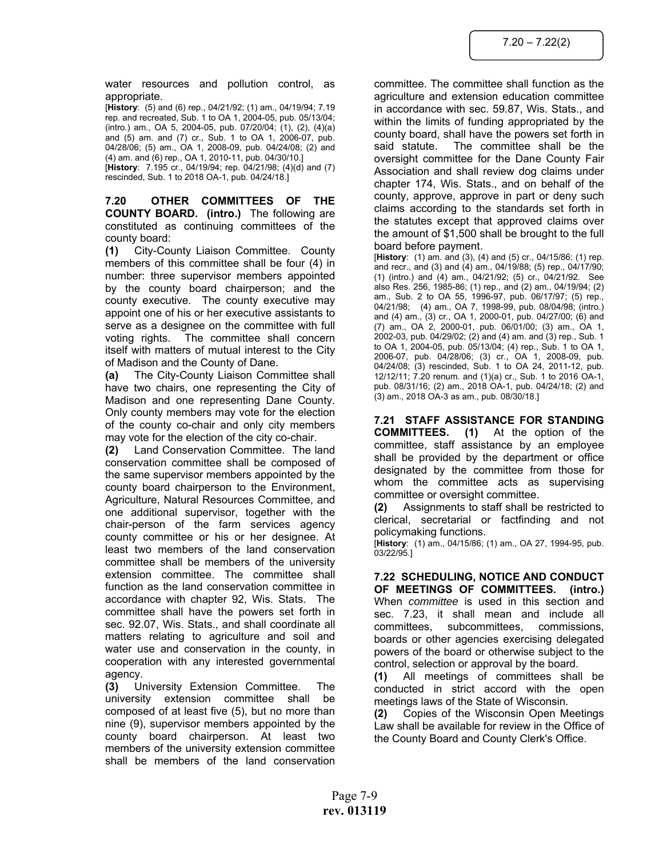water resources and pollution control, as appropriate.

[**History**: (5) and (6) rep., 04/21/92; (1) am., 04/19/94; 7.19 rep. and recreated, Sub. 1 to OA 1, 2004-05, pub. 05/13/04; (intro.) am., OA 5, 2004-05, pub. 07/20/04; (1), (2), (4)(a) and (5) am. and (7) cr., Sub. 1 to OA 1, 2006-07, pub. 04/28/06; (5) am., OA 1, 2008-09, pub. 04/24/08; (2) and (4) am. and (6) rep., OA 1, 2010-11, pub. 04/30/10.]

[**History**: 7.195 cr., 04/19/94; rep. 04/21/98; (4)(d) and (7) rescinded, Sub. 1 to 2018 OA-1, pub. 04/24/18.]

**7.20 OTHER COMMITTEES OF THE COUNTY BOARD. (intro.)** The following are constituted as continuing committees of the county board:

**(1)** City-County Liaison Committee. County members of this committee shall be four (4) in number: three supervisor members appointed by the county board chairperson; and the county executive. The county executive may appoint one of his or her executive assistants to serve as a designee on the committee with full voting rights. The committee shall concern itself with matters of mutual interest to the City of Madison and the County of Dane.

**(a)** The City-County Liaison Committee shall have two chairs, one representing the City of Madison and one representing Dane County. Only county members may vote for the election of the county co-chair and only city members may vote for the election of the city co-chair.

**(2)** Land Conservation Committee. The land conservation committee shall be composed of the same supervisor members appointed by the county board chairperson to the Environment, Agriculture, Natural Resources Committee, and one additional supervisor, together with the chair-person of the farm services agency county committee or his or her designee. At least two members of the land conservation committee shall be members of the university extension committee. The committee shall function as the land conservation committee in accordance with chapter 92, Wis. Stats. The committee shall have the powers set forth in sec. 92.07, Wis. Stats., and shall coordinate all matters relating to agriculture and soil and water use and conservation in the county, in cooperation with any interested governmental agency.

**(3)** University Extension Committee. The university extension committee shall be composed of at least five (5), but no more than nine (9), supervisor members appointed by the county board chairperson. At least two members of the university extension committee shall be members of the land conservation committee. The committee shall function as the agriculture and extension education committee in accordance with sec. 59.87, Wis. Stats., and within the limits of funding appropriated by the county board, shall have the powers set forth in said statute. The committee shall be the oversight committee for the Dane County Fair Association and shall review dog claims under chapter 174, Wis. Stats., and on behalf of the county, approve, approve in part or deny such claims according to the standards set forth in the statutes except that approved claims over the amount of \$1,500 shall be brought to the full board before payment.

[**History**: (1) am. and (3), (4) and (5) cr., 04/15/86; (1) rep. and recr., and (3) and (4) am., 04/19/88; (5) rep., 04/17/90; (1) (intro.) and (4) am., 04/21/92; (5) cr., 04/21/92. See also Res. 256, 1985-86; (1) rep., and (2) am., 04/19/94; (2) am., Sub. 2 to OA 55, 1996-97, pub. 06/17/97; (5) rep., 04/21/98; (4) am., OA 7, 1998-99, pub. 08/04/98; (intro.) and (4) am., (3) cr., OA 1, 2000-01, pub. 04/27/00; (6) and (7) am., OA 2, 2000-01, pub. 06/01/00; (3) am., OA 1, 2002-03, pub. 04/29/02; (2) and (4) am. and (3) rep., Sub. 1 to OA 1, 2004-05, pub. 05/13/04; (4) rep., Sub. 1 to OA 1, 2006-07, pub. 04/28/06; (3) cr., OA 1, 2008-09, pub. 04/24/08; (3) rescinded, Sub. 1 to OA 24, 2011-12, pub. 12/12/11; 7.20 renum. and (1)(a) cr., Sub. 1 to 2016 OA-1, pub. 08/31/16; (2) am., 2018 OA-1, pub. 04/24/18; (2) and (3) am., 2018 OA-3 as am., pub. 08/30/18.]

**7.21 STAFF ASSISTANCE FOR STANDING COMMITTEES. (1)** At the option of the committee, staff assistance by an employee shall be provided by the department or office designated by the committee from those for whom the committee acts as supervising committee or oversight committee.

**(2)** Assignments to staff shall be restricted to clerical, secretarial or factfinding and not policymaking functions.

[**History**: (1) am., 04/15/86; (1) am., OA 27, 1994-95, pub. 03/22/95.]

**7.22 SCHEDULING, NOTICE AND CONDUCT OF MEETINGS OF COMMITTEES. (intro.)** When *committee* is used in this section and sec. 7.23, it shall mean and include all committees, subcommittees, commissions, boards or other agencies exercising delegated powers of the board or otherwise subject to the control, selection or approval by the board.

**(1)** All meetings of committees shall be conducted in strict accord with the open meetings laws of the State of Wisconsin.

**(2)** Copies of the Wisconsin Open Meetings Law shall be available for review in the Office of the County Board and County Clerk's Office.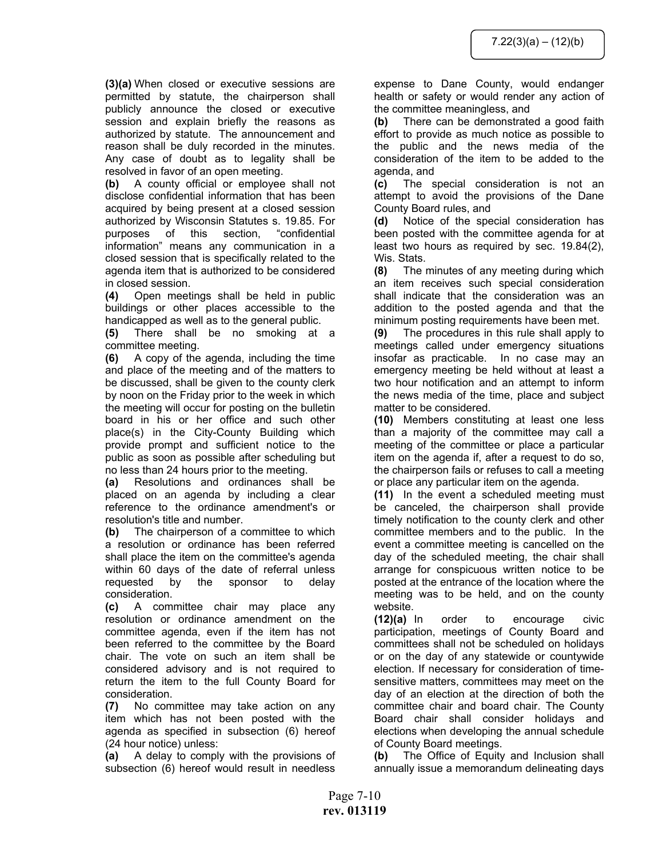**(3)(a)** When closed or executive sessions are permitted by statute, the chairperson shall publicly announce the closed or executive session and explain briefly the reasons as authorized by statute. The announcement and reason shall be duly recorded in the minutes. Any case of doubt as to legality shall be resolved in favor of an open meeting.

**(b)** A county official or employee shall not disclose confidential information that has been acquired by being present at a closed session authorized by Wisconsin Statutes s. 19.85. For purposes of this section, "confidential information" means any communication in a closed session that is specifically related to the agenda item that is authorized to be considered in closed session.

**(4)** Open meetings shall be held in public buildings or other places accessible to the handicapped as well as to the general public.

**(5)** There shall be no smoking at a committee meeting.

**(6)** A copy of the agenda, including the time and place of the meeting and of the matters to be discussed, shall be given to the county clerk by noon on the Friday prior to the week in which the meeting will occur for posting on the bulletin board in his or her office and such other place(s) in the City-County Building which provide prompt and sufficient notice to the public as soon as possible after scheduling but no less than 24 hours prior to the meeting.

**(a)** Resolutions and ordinances shall be placed on an agenda by including a clear reference to the ordinance amendment's or resolution's title and number.

**(b)** The chairperson of a committee to which a resolution or ordinance has been referred shall place the item on the committee's agenda within 60 days of the date of referral unless requested by the sponsor to delay consideration.

**(c)** A committee chair may place any resolution or ordinance amendment on the committee agenda, even if the item has not been referred to the committee by the Board chair. The vote on such an item shall be considered advisory and is not required to return the item to the full County Board for consideration.

**(7)** No committee may take action on any item which has not been posted with the agenda as specified in subsection (6) hereof (24 hour notice) unless:

**(a)** A delay to comply with the provisions of subsection (6) hereof would result in needless expense to Dane County, would endanger health or safety or would render any action of the committee meaningless, and

**(b)** There can be demonstrated a good faith effort to provide as much notice as possible to the public and the news media of the consideration of the item to be added to the agenda, and

**(c)** The special consideration is not an attempt to avoid the provisions of the Dane County Board rules, and

**(d)** Notice of the special consideration has been posted with the committee agenda for at least two hours as required by sec. 19.84(2), Wis. Stats.

**(8)** The minutes of any meeting during which an item receives such special consideration shall indicate that the consideration was an addition to the posted agenda and that the minimum posting requirements have been met.

**(9)** The procedures in this rule shall apply to meetings called under emergency situations insofar as practicable. In no case may an emergency meeting be held without at least a two hour notification and an attempt to inform the news media of the time, place and subject matter to be considered.

**(10)** Members constituting at least one less than a majority of the committee may call a meeting of the committee or place a particular item on the agenda if, after a request to do so, the chairperson fails or refuses to call a meeting or place any particular item on the agenda.

**(11)** In the event a scheduled meeting must be canceled, the chairperson shall provide timely notification to the county clerk and other committee members and to the public. In the event a committee meeting is cancelled on the day of the scheduled meeting, the chair shall arrange for conspicuous written notice to be posted at the entrance of the location where the meeting was to be held, and on the county website.

**(12)(a)** In order to encourage civic participation, meetings of County Board and committees shall not be scheduled on holidays or on the day of any statewide or countywide election. If necessary for consideration of timesensitive matters, committees may meet on the day of an election at the direction of both the committee chair and board chair. The County Board chair shall consider holidays and elections when developing the annual schedule of County Board meetings.

**(b)** The Office of Equity and Inclusion shall annually issue a memorandum delineating days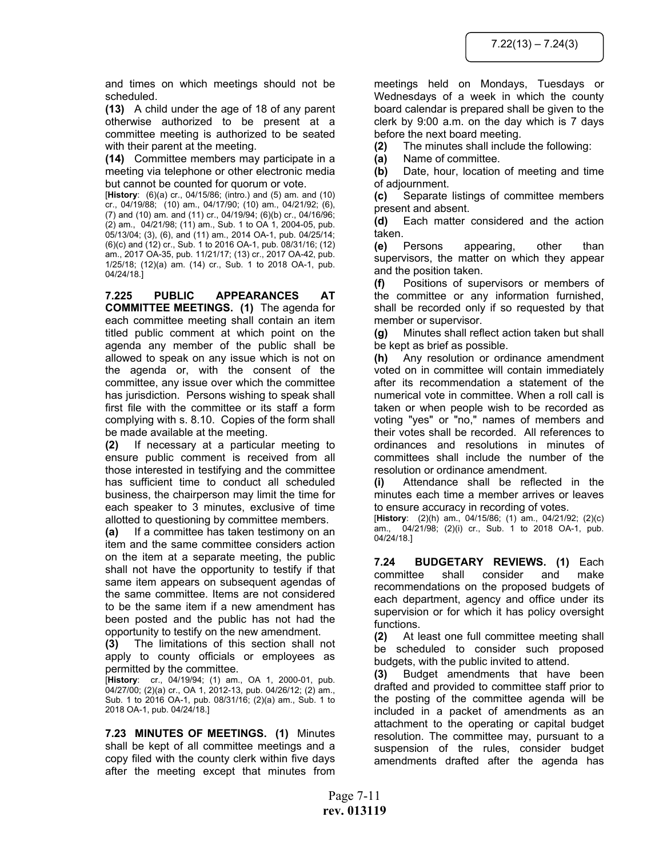and times on which meetings should not be scheduled.

**(13)** A child under the age of 18 of any parent otherwise authorized to be present at a committee meeting is authorized to be seated with their parent at the meeting.

**(14)** Committee members may participate in a meeting via telephone or other electronic media but cannot be counted for quorum or vote.

[**History**: (6)(a) cr., 04/15/86; (intro.) and (5) am. and (10) cr., 04/19/88; (10) am., 04/17/90; (10) am., 04/21/92; (6), (7) and (10) am. and (11) cr., 04/19/94; (6)(b) cr., 04/16/96; (2) am., 04/21/98; (11) am., Sub. 1 to OA 1, 2004-05, pub. 05/13/04; (3), (6), and (11) am., 2014 OA-1, pub. 04/25/14; (6)(c) and (12) cr., Sub. 1 to 2016 OA-1, pub. 08/31/16; (12) am., 2017 OA-35, pub. 11/21/17; (13) cr., 2017 OA-42, pub. 1/25/18; (12)(a) am. (14) cr., Sub. 1 to 2018 OA-1, pub. 04/24/18.]

**7.225 PUBLIC APPEARANCES AT COMMITTEE MEETINGS. (1)** The agenda for each committee meeting shall contain an item titled public comment at which point on the agenda any member of the public shall be allowed to speak on any issue which is not on the agenda or, with the consent of the committee, any issue over which the committee has jurisdiction. Persons wishing to speak shall first file with the committee or its staff a form complying with s. 8.10. Copies of the form shall be made available at the meeting.

**(2)** If necessary at a particular meeting to ensure public comment is received from all those interested in testifying and the committee has sufficient time to conduct all scheduled business, the chairperson may limit the time for each speaker to 3 minutes, exclusive of time allotted to questioning by committee members.

**(a)** If a committee has taken testimony on an item and the same committee considers action on the item at a separate meeting, the public shall not have the opportunity to testify if that same item appears on subsequent agendas of the same committee. Items are not considered to be the same item if a new amendment has been posted and the public has not had the opportunity to testify on the new amendment.

**(3)** The limitations of this section shall not apply to county officials or employees as permitted by the committee.

[**History**: cr., 04/19/94; (1) am., OA 1, 2000-01, pub. 04/27/00; (2)(a) cr., OA 1, 2012-13, pub. 04/26/12; (2) am., Sub. 1 to 2016 OA-1, pub. 08/31/16; (2)(a) am., Sub. 1 to 2018 OA-1, pub. 04/24/18.]

**7.23 MINUTES OF MEETINGS. (1)** Minutes shall be kept of all committee meetings and a copy filed with the county clerk within five days after the meeting except that minutes from

meetings held on Mondays, Tuesdays or Wednesdays of a week in which the county board calendar is prepared shall be given to the clerk by 9:00 a.m. on the day which is 7 days before the next board meeting.

**(2)** The minutes shall include the following:

**(a)** Name of committee.

**(b)** Date, hour, location of meeting and time of adjournment.

**(c)** Separate listings of committee members present and absent.

**(d)** Each matter considered and the action taken.

**(e)** Persons appearing, other than supervisors, the matter on which they appear and the position taken.

**(f)** Positions of supervisors or members of the committee or any information furnished, shall be recorded only if so requested by that member or supervisor.

**(g)** Minutes shall reflect action taken but shall be kept as brief as possible.

**(h)** Any resolution or ordinance amendment voted on in committee will contain immediately after its recommendation a statement of the numerical vote in committee. When a roll call is taken or when people wish to be recorded as voting "yes" or "no," names of members and their votes shall be recorded. All references to ordinances and resolutions in minutes of committees shall include the number of the resolution or ordinance amendment.

**(i)** Attendance shall be reflected in the minutes each time a member arrives or leaves to ensure accuracy in recording of votes.

[**History**: (2)(h) am., 04/15/86; (1) am., 04/21/92; (2)(c) am., 04/21/98; (2)(i) cr., Sub. 1 to 2018 OA-1, pub. 04/24/18.]

**7.24 BUDGETARY REVIEWS. (1)** Each committee shall consider and make recommendations on the proposed budgets of each department, agency and office under its supervision or for which it has policy oversight functions.

**(2)** At least one full committee meeting shall be scheduled to consider such proposed budgets, with the public invited to attend.

**(3)** Budget amendments that have been drafted and provided to committee staff prior to the posting of the committee agenda will be included in a packet of amendments as an attachment to the operating or capital budget resolution. The committee may, pursuant to a suspension of the rules, consider budget amendments drafted after the agenda has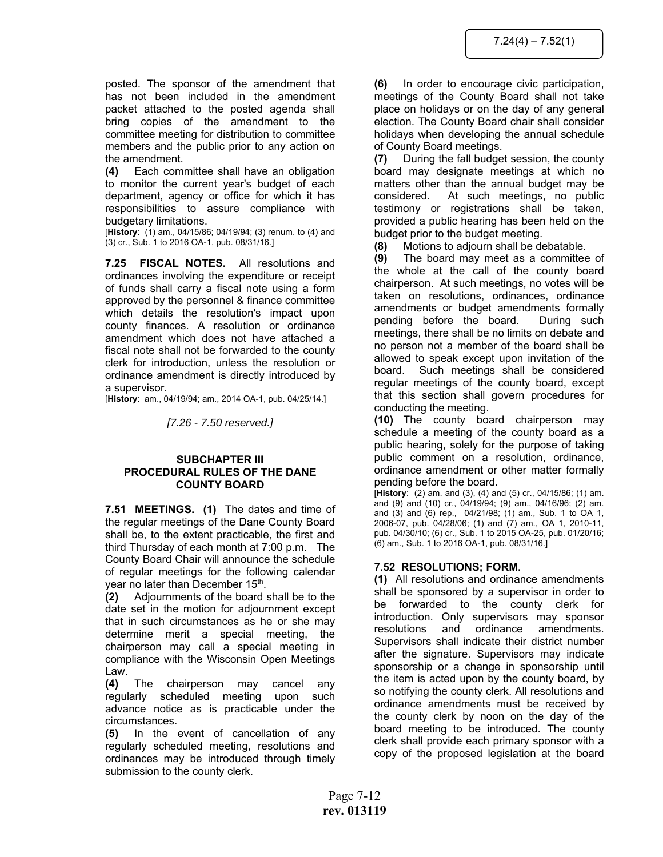posted. The sponsor of the amendment that has not been included in the amendment packet attached to the posted agenda shall bring copies of the amendment to the committee meeting for distribution to committee members and the public prior to any action on the amendment.

**(4)** Each committee shall have an obligation to monitor the current year's budget of each department, agency or office for which it has responsibilities to assure compliance with budgetary limitations.

[**History**: (1) am., 04/15/86; 04/19/94; (3) renum. to (4) and (3) cr., Sub. 1 to 2016 OA-1, pub. 08/31/16.]

**7.25 FISCAL NOTES.** All resolutions and ordinances involving the expenditure or receipt of funds shall carry a fiscal note using a form approved by the personnel & finance committee which details the resolution's impact upon county finances. A resolution or ordinance amendment which does not have attached a fiscal note shall not be forwarded to the county clerk for introduction, unless the resolution or ordinance amendment is directly introduced by a supervisor.

[**History**: am., 04/19/94; am., 2014 OA-1, pub. 04/25/14.]

*[7.26 - 7.50 reserved.]* 

#### **SUBCHAPTER III PROCEDURAL RULES OF THE DANE COUNTY BOARD**

**7.51 MEETINGS. (1)** The dates and time of the regular meetings of the Dane County Board shall be, to the extent practicable, the first and third Thursday of each month at 7:00 p.m. The County Board Chair will announce the schedule of regular meetings for the following calendar year no later than December 15<sup>th</sup>.

**(2)** Adjournments of the board shall be to the date set in the motion for adjournment except that in such circumstances as he or she may determine merit a special meeting, the chairperson may call a special meeting in compliance with the Wisconsin Open Meetings Law.

**(4)** The chairperson may cancel any regularly scheduled meeting upon such advance notice as is practicable under the circumstances.

**(5)** In the event of cancellation of any regularly scheduled meeting, resolutions and ordinances may be introduced through timely submission to the county clerk.

**(6)** In order to encourage civic participation, meetings of the County Board shall not take place on holidays or on the day of any general election. The County Board chair shall consider holidays when developing the annual schedule of County Board meetings.

**(7)** During the fall budget session, the county board may designate meetings at which no matters other than the annual budget may be considered. At such meetings, no public testimony or registrations shall be taken, provided a public hearing has been held on the budget prior to the budget meeting.

**(8)** Motions to adjourn shall be debatable.

**(9)** The board may meet as a committee of the whole at the call of the county board chairperson. At such meetings, no votes will be taken on resolutions, ordinances, ordinance amendments or budget amendments formally pending before the board. During such meetings, there shall be no limits on debate and no person not a member of the board shall be allowed to speak except upon invitation of the board. Such meetings shall be considered regular meetings of the county board, except that this section shall govern procedures for conducting the meeting.

**(10)** The county board chairperson may schedule a meeting of the county board as a public hearing, solely for the purpose of taking public comment on a resolution, ordinance, ordinance amendment or other matter formally pending before the board.

[**History**: (2) am. and (3), (4) and (5) cr., 04/15/86; (1) am. and (9) and (10) cr., 04/19/94; (9) am., 04/16/96; (2) am. and (3) and (6) rep., 04/21/98; (1) am., Sub. 1 to OA 1, 2006-07, pub. 04/28/06; (1) and (7) am., OA 1, 2010-11, pub. 04/30/10; (6) cr., Sub. 1 to 2015 OA-25, pub. 01/20/16; (6) am., Sub. 1 to 2016 OA-1, pub. 08/31/16.]

# **7.52 RESOLUTIONS; FORM.**

**(1)** All resolutions and ordinance amendments shall be sponsored by a supervisor in order to be forwarded to the county clerk for introduction. Only supervisors may sponsor resolutions and ordinance amendments. Supervisors shall indicate their district number after the signature. Supervisors may indicate sponsorship or a change in sponsorship until the item is acted upon by the county board, by so notifying the county clerk. All resolutions and ordinance amendments must be received by the county clerk by noon on the day of the board meeting to be introduced. The county clerk shall provide each primary sponsor with a copy of the proposed legislation at the board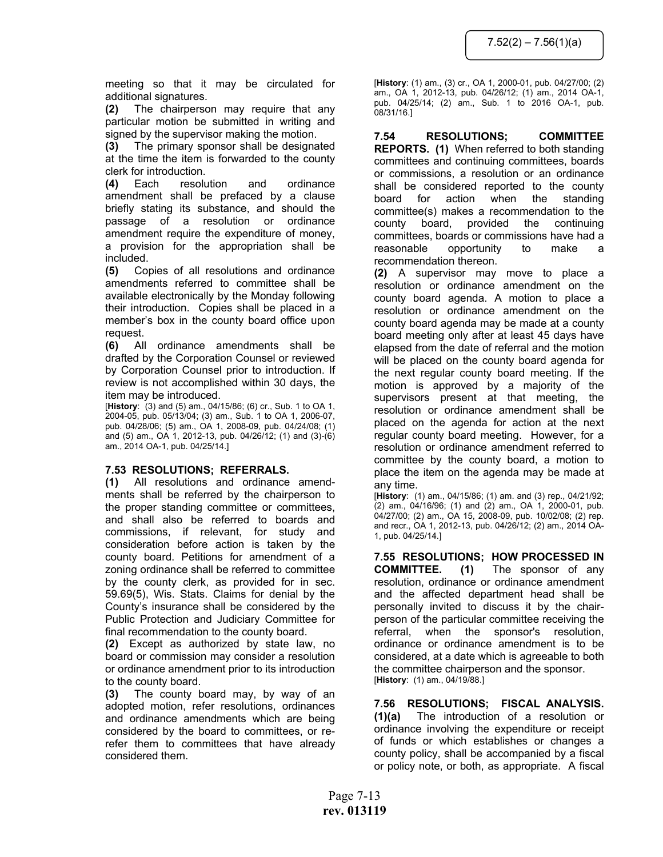meeting so that it may be circulated for additional signatures.

**(2)** The chairperson may require that any particular motion be submitted in writing and signed by the supervisor making the motion.

**(3)** The primary sponsor shall be designated at the time the item is forwarded to the county clerk for introduction.

**(4)** Each resolution and ordinance amendment shall be prefaced by a clause briefly stating its substance, and should the passage of a resolution or ordinance amendment require the expenditure of money, a provision for the appropriation shall be included.

**(5)** Copies of all resolutions and ordinance amendments referred to committee shall be available electronically by the Monday following their introduction. Copies shall be placed in a member's box in the county board office upon request.

**(6)** All ordinance amendments shall be drafted by the Corporation Counsel or reviewed by Corporation Counsel prior to introduction. If review is not accomplished within 30 days, the item may be introduced.

[**History**: (3) and (5) am., 04/15/86; (6) cr., Sub. 1 to OA 1, 2004-05, pub. 05/13/04; (3) am., Sub. 1 to OA 1, 2006-07, pub. 04/28/06; (5) am., OA 1, 2008-09, pub. 04/24/08; (1) and (5) am., OA 1, 2012-13, pub. 04/26/12; (1) and (3)-(6) am., 2014 OA-1, pub. 04/25/14.]

# **7.53 RESOLUTIONS; REFERRALS.**

**(1)** All resolutions and ordinance amendments shall be referred by the chairperson to the proper standing committee or committees, and shall also be referred to boards and commissions, if relevant, for study and consideration before action is taken by the county board. Petitions for amendment of a zoning ordinance shall be referred to committee by the county clerk, as provided for in sec. 59.69(5), Wis. Stats. Claims for denial by the County's insurance shall be considered by the Public Protection and Judiciary Committee for final recommendation to the county board.

**(2)** Except as authorized by state law, no board or commission may consider a resolution or ordinance amendment prior to its introduction to the county board.

**(3)** The county board may, by way of an adopted motion, refer resolutions, ordinances and ordinance amendments which are being considered by the board to committees, or rerefer them to committees that have already considered them.

[**History**: (1) am., (3) cr., OA 1, 2000-01, pub. 04/27/00; (2) am., OA 1, 2012-13, pub. 04/26/12; (1) am., 2014 OA-1, pub. 04/25/14; (2) am., Sub. 1 to 2016 OA-1, pub. 08/31/16.]

**7.54 RESOLUTIONS; COMMITTEE REPORTS. (1)** When referred to both standing committees and continuing committees, boards or commissions, a resolution or an ordinance shall be considered reported to the county board for action when the standing committee(s) makes a recommendation to the county board, provided the continuing committees, boards or commissions have had a reasonable opportunity to make a recommendation thereon.

**(2)** A supervisor may move to place a resolution or ordinance amendment on the county board agenda. A motion to place a resolution or ordinance amendment on the county board agenda may be made at a county board meeting only after at least 45 days have elapsed from the date of referral and the motion will be placed on the county board agenda for the next regular county board meeting. If the motion is approved by a majority of the supervisors present at that meeting, the resolution or ordinance amendment shall be placed on the agenda for action at the next regular county board meeting. However, for a resolution or ordinance amendment referred to committee by the county board, a motion to place the item on the agenda may be made at any time.

[**History**: (1) am., 04/15/86; (1) am. and (3) rep., 04/21/92; (2) am., 04/16/96; (1) and (2) am., OA 1, 2000-01, pub. 04/27/00; (2) am., OA 15, 2008-09, pub. 10/02/08; (2) rep. and recr., OA 1, 2012-13, pub. 04/26/12; (2) am., 2014 OA-1, pub. 04/25/14.]

**7.55 RESOLUTIONS; HOW PROCESSED IN COMMITTEE. (1)** The sponsor of any resolution, ordinance or ordinance amendment and the affected department head shall be personally invited to discuss it by the chairperson of the particular committee receiving the referral, when the sponsor's resolution, ordinance or ordinance amendment is to be considered, at a date which is agreeable to both the committee chairperson and the sponsor. [**History**: (1) am., 04/19/88.]

**7.56 RESOLUTIONS; FISCAL ANALYSIS. (1)(a)** The introduction of a resolution or ordinance involving the expenditure or receipt of funds or which establishes or changes a county policy, shall be accompanied by a fiscal or policy note, or both, as appropriate. A fiscal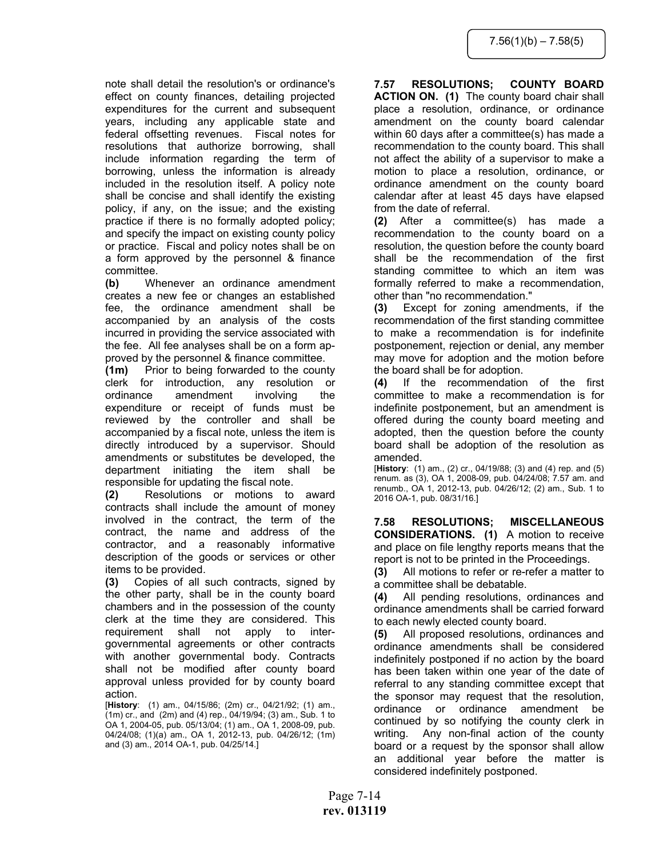note shall detail the resolution's or ordinance's effect on county finances, detailing projected expenditures for the current and subsequent years, including any applicable state and federal offsetting revenues. Fiscal notes for resolutions that authorize borrowing, shall include information regarding the term of borrowing, unless the information is already included in the resolution itself. A policy note shall be concise and shall identify the existing policy, if any, on the issue; and the existing practice if there is no formally adopted policy; and specify the impact on existing county policy or practice. Fiscal and policy notes shall be on a form approved by the personnel & finance committee.

**(b)** Whenever an ordinance amendment creates a new fee or changes an established fee, the ordinance amendment shall be accompanied by an analysis of the costs incurred in providing the service associated with the fee. All fee analyses shall be on a form approved by the personnel & finance committee.

**(1m)** Prior to being forwarded to the county clerk for introduction, any resolution or ordinance amendment involving the expenditure or receipt of funds must be reviewed by the controller and shall be accompanied by a fiscal note, unless the item is directly introduced by a supervisor. Should amendments or substitutes be developed, the department initiating the item shall be responsible for updating the fiscal note.

**(2)** Resolutions or motions to award contracts shall include the amount of money involved in the contract, the term of the contract, the name and address of the contractor, and a reasonably informative description of the goods or services or other items to be provided.

**(3)** Copies of all such contracts, signed by the other party, shall be in the county board chambers and in the possession of the county clerk at the time they are considered. This requirement shall not apply to intergovernmental agreements or other contracts with another governmental body. Contracts shall not be modified after county board approval unless provided for by county board action.

[**History**: (1) am., 04/15/86; (2m) cr., 04/21/92; (1) am.,  $(1m)$  cr., and  $(2m)$  and  $(4)$  rep., 04/19/94; (3) am., Sub. 1 to OA 1, 2004-05, pub. 05/13/04; (1) am., OA 1, 2008-09, pub. 04/24/08; (1)(a) am., OA 1, 2012-13, pub. 04/26/12; (1m) and (3) am., 2014 OA-1, pub. 04/25/14.]

# **7.57 RESOLUTIONS; COUNTY BOARD ACTION ON. (1)** The county board chair shall place a resolution, ordinance, or ordinance amendment on the county board calendar within 60 days after a committee(s) has made a recommendation to the county board. This shall not affect the ability of a supervisor to make a motion to place a resolution, ordinance, or ordinance amendment on the county board calendar after at least 45 days have elapsed from the date of referral.

**(2)** After a committee(s) has made a recommendation to the county board on a resolution, the question before the county board shall be the recommendation of the first standing committee to which an item was formally referred to make a recommendation, other than "no recommendation."

**(3)** Except for zoning amendments, if the recommendation of the first standing committee to make a recommendation is for indefinite postponement, rejection or denial, any member may move for adoption and the motion before the board shall be for adoption.

**(4)** If the recommendation of the first committee to make a recommendation is for indefinite postponement, but an amendment is offered during the county board meeting and adopted, then the question before the county board shall be adoption of the resolution as amended.

[**History**: (1) am., (2) cr., 04/19/88; (3) and (4) rep. and (5) renum. as (3), OA 1, 2008-09, pub. 04/24/08; 7.57 am. and renumb., OA 1, 2012-13, pub. 04/26/12; (2) am., Sub. 1 to 2016 OA-1, pub. 08/31/16.]

**7.58 RESOLUTIONS; MISCELLANEOUS CONSIDERATIONS. (1)** A motion to receive and place on file lengthy reports means that the report is not to be printed in the Proceedings.

**(3)** All motions to refer or re-refer a matter to a committee shall be debatable.

**(4)** All pending resolutions, ordinances and ordinance amendments shall be carried forward to each newly elected county board.

**(5)** All proposed resolutions, ordinances and ordinance amendments shall be considered indefinitely postponed if no action by the board has been taken within one year of the date of referral to any standing committee except that the sponsor may request that the resolution, ordinance or ordinance amendment be continued by so notifying the county clerk in writing. Any non-final action of the county board or a request by the sponsor shall allow an additional year before the matter is considered indefinitely postponed.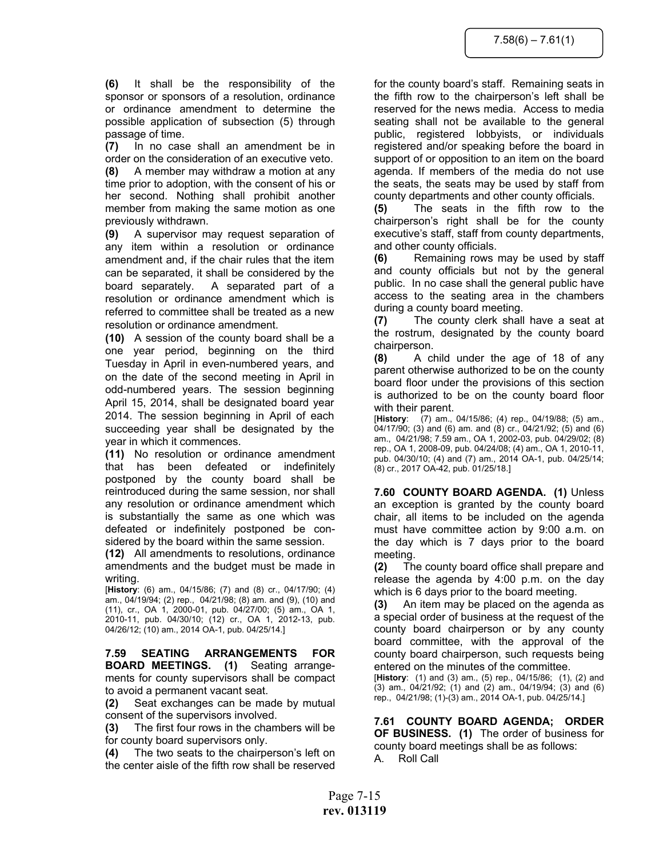**(6)** It shall be the responsibility of the sponsor or sponsors of a resolution, ordinance or ordinance amendment to determine the possible application of subsection (5) through passage of time.

**(7)** In no case shall an amendment be in order on the consideration of an executive veto.

**(8)** A member may withdraw a motion at any time prior to adoption, with the consent of his or her second. Nothing shall prohibit another member from making the same motion as one previously withdrawn.

**(9)** A supervisor may request separation of any item within a resolution or ordinance amendment and, if the chair rules that the item can be separated, it shall be considered by the board separately. A separated part of a resolution or ordinance amendment which is referred to committee shall be treated as a new resolution or ordinance amendment.

**(10)** A session of the county board shall be a one year period, beginning on the third Tuesday in April in even-numbered years, and on the date of the second meeting in April in odd-numbered years. The session beginning April 15, 2014, shall be designated board year 2014. The session beginning in April of each succeeding year shall be designated by the year in which it commences.

**(11)** No resolution or ordinance amendment that has been defeated or indefinitely postponed by the county board shall be reintroduced during the same session, nor shall any resolution or ordinance amendment which is substantially the same as one which was defeated or indefinitely postponed be considered by the board within the same session.

**(12)** All amendments to resolutions, ordinance amendments and the budget must be made in writing.

[**History**: (6) am., 04/15/86; (7) and (8) cr., 04/17/90; (4) am., 04/19/94; (2) rep., 04/21/98; (8) am. and (9), (10) and (11), cr., OA 1, 2000-01, pub. 04/27/00; (5) am., OA 1, 2010-11, pub. 04/30/10; (12) cr., OA 1, 2012-13, pub. 04/26/12; (10) am., 2014 OA-1, pub. 04/25/14.]

**7.59 SEATING ARRANGEMENTS FOR BOARD MEETINGS. (1)** Seating arrangements for county supervisors shall be compact to avoid a permanent vacant seat.

**(2)** Seat exchanges can be made by mutual consent of the supervisors involved.

**(3)** The first four rows in the chambers will be for county board supervisors only.

**(4)** The two seats to the chairperson's left on the center aisle of the fifth row shall be reserved

for the county board's staff. Remaining seats in the fifth row to the chairperson's left shall be reserved for the news media. Access to media seating shall not be available to the general public, registered lobbyists, or individuals registered and/or speaking before the board in support of or opposition to an item on the board agenda. If members of the media do not use the seats, the seats may be used by staff from county departments and other county officials.

**(5)** The seats in the fifth row to the chairperson's right shall be for the county executive's staff, staff from county departments, and other county officials.

**(6)** Remaining rows may be used by staff and county officials but not by the general public. In no case shall the general public have access to the seating area in the chambers during a county board meeting.

**(7)** The county clerk shall have a seat at the rostrum, designated by the county board chairperson.

**(8)** A child under the age of 18 of any parent otherwise authorized to be on the county board floor under the provisions of this section is authorized to be on the county board floor with their parent.

[**History**: (7) am., 04/15/86; (4) rep., 04/19/88; (5) am., 04/17/90; (3) and (6) am. and (8) cr., 04/21/92; (5) and (6) am., 04/21/98; 7.59 am., OA 1, 2002-03, pub. 04/29/02; (8) rep., OA 1, 2008-09, pub. 04/24/08; (4) am., OA 1, 2010-11, pub. 04/30/10; (4) and (7) am., 2014 OA-1, pub. 04/25/14; (8) cr., 2017 OA-42, pub. 01/25/18.]

**7.60 COUNTY BOARD AGENDA. (1)** Unless an exception is granted by the county board chair, all items to be included on the agenda must have committee action by 9:00 a.m. on the day which is 7 days prior to the board meeting.

**(2)** The county board office shall prepare and release the agenda by 4:00 p.m. on the day which is 6 days prior to the board meeting.

**(3)** An item may be placed on the agenda as a special order of business at the request of the county board chairperson or by any county board committee, with the approval of the county board chairperson, such requests being entered on the minutes of the committee.

[**History**: (1) and (3) am., (5) rep., 04/15/86; (1), (2) and (3) am., 04/21/92; (1) and (2) am., 04/19/94; (3) and (6) rep., 04/21/98; (1)-(3) am., 2014 OA-1, pub. 04/25/14.]

**7.61 COUNTY BOARD AGENDA; ORDER OF BUSINESS. (1)** The order of business for county board meetings shall be as follows: A. Roll Call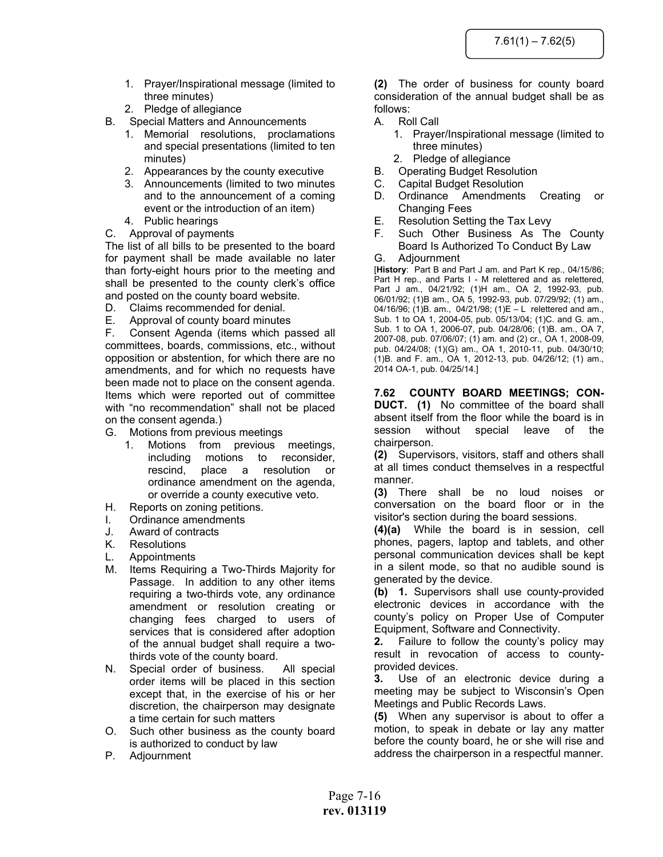- 1. Prayer/Inspirational message (limited to three minutes)
- 2. Pledge of allegiance
- B. Special Matters and Announcements
	- 1. Memorial resolutions, proclamations and special presentations (limited to ten minutes)
	- 2. Appearances by the county executive
	- 3. Announcements (limited to two minutes and to the announcement of a coming event or the introduction of an item)
	- 4. Public hearings
- C. Approval of payments

The list of all bills to be presented to the board for payment shall be made available no later than forty-eight hours prior to the meeting and shall be presented to the county clerk's office and posted on the county board website.

- D. Claims recommended for denial.
- E. Approval of county board minutes

F. Consent Agenda (items which passed all committees, boards, commissions, etc., without opposition or abstention, for which there are no amendments, and for which no requests have been made not to place on the consent agenda. Items which were reported out of committee with "no recommendation" shall not be placed on the consent agenda.)

- G. Motions from previous meetings
	- 1. Motions from previous meetings, including motions to reconsider, rescind, place a resolution or ordinance amendment on the agenda, or override a county executive veto.
- H. Reports on zoning petitions.
- I. Ordinance amendments
- J. Award of contracts
- K. Resolutions
- L. Appointments
- M. Items Requiring a Two-Thirds Majority for Passage. In addition to any other items requiring a two-thirds vote, any ordinance amendment or resolution creating or changing fees charged to users of services that is considered after adoption of the annual budget shall require a twothirds vote of the county board.
- N. Special order of business. All special order items will be placed in this section except that, in the exercise of his or her discretion, the chairperson may designate a time certain for such matters
- O. Such other business as the county board is authorized to conduct by law
- P. Adjournment

**(2)** The order of business for county board consideration of the annual budget shall be as follows:

# A. Roll Call

- 1. Prayer/Inspirational message (limited to three minutes)
- 2. Pledge of allegiance
- B. Operating Budget Resolution
- C. Capital Budget Resolution
- D. Ordinance Amendments Creating or Changing Fees
- E. Resolution Setting the Tax Levy
- F. Such Other Business As The County Board Is Authorized To Conduct By Law
- G. Adjournment

[**History**: Part B and Part J am. and Part K rep., 04/15/86; Part H rep., and Parts I - M relettered and as relettered, Part J am., 04/21/92; (1)H am., OA 2, 1992-93, pub. 06/01/92; (1)B am., OA 5, 1992-93, pub. 07/29/92; (1) am., 04/16/96; (1)B. am., 04/21/98; (1)E – L relettered and am., Sub. 1 to OA 1, 2004-05, pub. 05/13/04; (1)C. and G. am., Sub. 1 to OA 1, 2006-07, pub. 04/28/06; (1)B. am., OA 7, 2007-08, pub. 07/06/07; (1) am. and (2) cr., OA 1, 2008-09, pub. 04/24/08; (1)(G) am., OA 1, 2010-11, pub. 04/30/10; (1)B. and F. am., OA 1, 2012-13, pub. 04/26/12; (1) am., 2014 OA-1, pub. 04/25/14.]

**7.62 COUNTY BOARD MEETINGS; CON-DUCT. (1)** No committee of the board shall absent itself from the floor while the board is in session without special leave of the chairperson.

**(2)** Supervisors, visitors, staff and others shall at all times conduct themselves in a respectful manner.

**(3)** There shall be no loud noises or conversation on the board floor or in the visitor's section during the board sessions.

**(4)(a)** While the board is in session, cell phones, pagers, laptop and tablets, and other personal communication devices shall be kept in a silent mode, so that no audible sound is generated by the device.

**(b) 1.** Supervisors shall use county-provided electronic devices in accordance with the county's policy on Proper Use of Computer Equipment, Software and Connectivity.

**2.** Failure to follow the county's policy may result in revocation of access to countyprovided devices.

**3.** Use of an electronic device during a meeting may be subject to Wisconsin's Open Meetings and Public Records Laws.

**(5)** When any supervisor is about to offer a motion, to speak in debate or lay any matter before the county board, he or she will rise and address the chairperson in a respectful manner.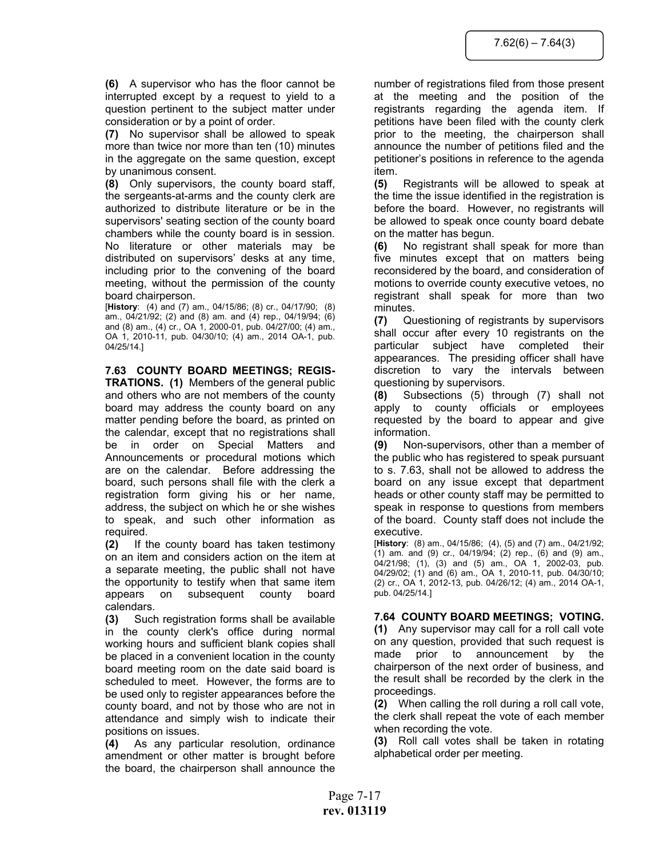**(6)** A supervisor who has the floor cannot be interrupted except by a request to yield to a question pertinent to the subject matter under consideration or by a point of order.

**(7)** No supervisor shall be allowed to speak more than twice nor more than ten (10) minutes in the aggregate on the same question, except by unanimous consent.

**(8)** Only supervisors, the county board staff, the sergeants-at-arms and the county clerk are authorized to distribute literature or be in the supervisors' seating section of the county board chambers while the county board is in session. No literature or other materials may be distributed on supervisors' desks at any time, including prior to the convening of the board meeting, without the permission of the county board chairperson.

[**History**: (4) and (7) am., 04/15/86; (8) cr., 04/17/90; (8) am., 04/21/92; (2) and (8) am. and (4) rep., 04/19/94; (6) and (8) am., (4) cr., OA 1, 2000-01, pub. 04/27/00; (4) am., OA 1, 2010-11, pub. 04/30/10; (4) am., 2014 OA-1, pub. 04/25/14.]

**7.63 COUNTY BOARD MEETINGS; REGIS-TRATIONS. (1)** Members of the general public and others who are not members of the county board may address the county board on any matter pending before the board, as printed on the calendar, except that no registrations shall be in order on Special Matters and Announcements or procedural motions which are on the calendar. Before addressing the board, such persons shall file with the clerk a registration form giving his or her name, address, the subject on which he or she wishes to speak, and such other information as required.

**(2)** If the county board has taken testimony on an item and considers action on the item at a separate meeting, the public shall not have the opportunity to testify when that same item appears on subsequent county board calendars.

**(3)** Such registration forms shall be available in the county clerk's office during normal working hours and sufficient blank copies shall be placed in a convenient location in the county board meeting room on the date said board is scheduled to meet. However, the forms are to be used only to register appearances before the county board, and not by those who are not in attendance and simply wish to indicate their positions on issues.

**(4)** As any particular resolution, ordinance amendment or other matter is brought before the board, the chairperson shall announce the number of registrations filed from those present at the meeting and the position of the registrants regarding the agenda item. If petitions have been filed with the county clerk prior to the meeting, the chairperson shall announce the number of petitions filed and the petitioner's positions in reference to the agenda item.

**(5)** Registrants will be allowed to speak at the time the issue identified in the registration is before the board. However, no registrants will be allowed to speak once county board debate on the matter has begun.

**(6)** No registrant shall speak for more than five minutes except that on matters being reconsidered by the board, and consideration of motions to override county executive vetoes, no registrant shall speak for more than two minutes.

**(7)** Questioning of registrants by supervisors shall occur after every 10 registrants on the particular subject have completed their appearances. The presiding officer shall have discretion to vary the intervals between questioning by supervisors.

**(8)** Subsections (5) through (7) shall not apply to county officials or employees requested by the board to appear and give information.

**(9)** Non-supervisors, other than a member of the public who has registered to speak pursuant to s. 7.63, shall not be allowed to address the board on any issue except that department heads or other county staff may be permitted to speak in response to questions from members of the board. County staff does not include the executive.

[**History**: (8) am., 04/15/86; (4), (5) and (7) am., 04/21/92; (1) am. and (9) cr., 04/19/94; (2) rep., (6) and (9) am., 04/21/98; (1), (3) and (5) am., OA 1, 2002-03, pub. 04/29/02; (1) and (6) am., OA 1, 2010-11, pub. 04/30/10; (2) cr., OA 1, 2012-13, pub. 04/26/12; (4) am., 2014 OA-1, pub. 04/25/14.]

# **7.64 COUNTY BOARD MEETINGS; VOTING.**

**(1)** Any supervisor may call for a roll call vote on any question, provided that such request is made prior to announcement by the chairperson of the next order of business, and the result shall be recorded by the clerk in the proceedings.

**(2)** When calling the roll during a roll call vote, the clerk shall repeat the vote of each member when recording the vote.

**(3)** Roll call votes shall be taken in rotating alphabetical order per meeting.